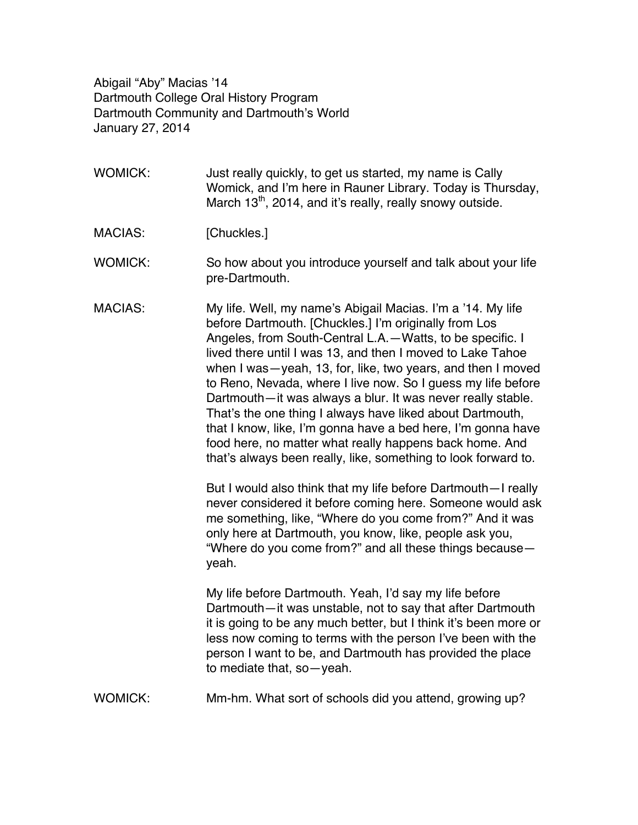Abigail "Aby" Macias '14 Dartmouth College Oral History Program Dartmouth Community and Dartmouth's World January 27, 2014

- WOMICK: Just really quickly, to get us started, my name is Cally Womick, and I'm here in Rauner Library. Today is Thursday, March  $13<sup>th</sup>$ , 2014, and it's really, really snowy outside.
- MACIAS: [Chuckles.]
- WOMICK: So how about you introduce yourself and talk about your life pre-Dartmouth.
- MACIAS: My life. Well, my name's Abigail Macias. I'm a '14. My life before Dartmouth. [Chuckles.] I'm originally from Los Angeles, from South-Central L.A.—Watts, to be specific. I lived there until I was 13, and then I moved to Lake Tahoe when I was—yeah, 13, for, like, two years, and then I moved to Reno, Nevada, where I live now. So I guess my life before Dartmouth—it was always a blur. It was never really stable. That's the one thing I always have liked about Dartmouth, that I know, like, I'm gonna have a bed here, I'm gonna have food here, no matter what really happens back home. And that's always been really, like, something to look forward to.

But I would also think that my life before Dartmouth—I really never considered it before coming here. Someone would ask me something, like, "Where do you come from?" And it was only here at Dartmouth, you know, like, people ask you, "Where do you come from?" and all these things because yeah.

My life before Dartmouth. Yeah, I'd say my life before Dartmouth—it was unstable, not to say that after Dartmouth it is going to be any much better, but I think it's been more or less now coming to terms with the person I've been with the person I want to be, and Dartmouth has provided the place to mediate that, so—yeah.

WOMICK: Mm-hm. What sort of schools did you attend, growing up?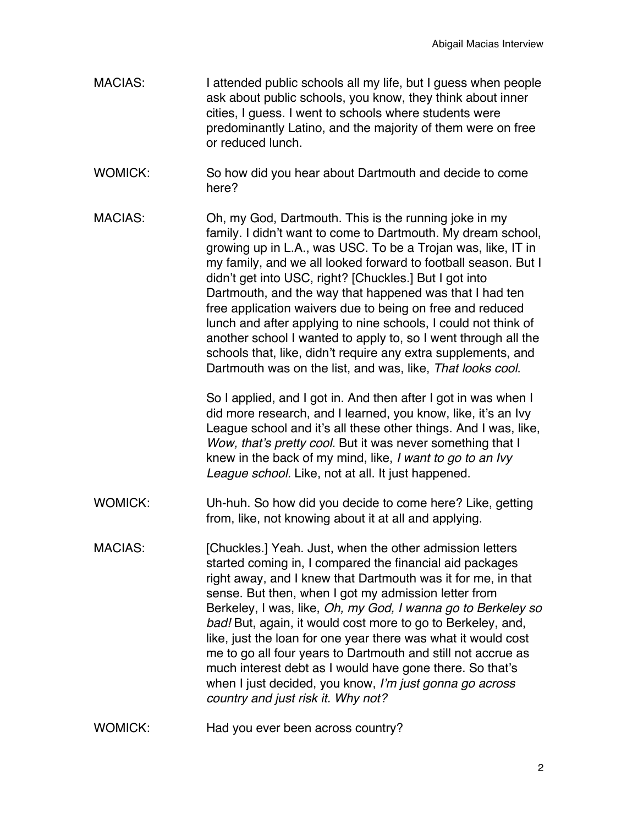- MACIAS: I attended public schools all my life, but I guess when people ask about public schools, you know, they think about inner cities, I guess. I went to schools where students were predominantly Latino, and the majority of them were on free or reduced lunch.
- WOMICK: So how did you hear about Dartmouth and decide to come here?
- MACIAS: Oh, my God, Dartmouth. This is the running joke in my family. I didn't want to come to Dartmouth. My dream school, growing up in L.A., was USC. To be a Trojan was, like, IT in my family, and we all looked forward to football season. But I didn't get into USC, right? [Chuckles.] But I got into Dartmouth, and the way that happened was that I had ten free application waivers due to being on free and reduced lunch and after applying to nine schools, I could not think of another school I wanted to apply to, so I went through all the schools that, like, didn't require any extra supplements, and Dartmouth was on the list, and was, like, *That looks cool*.

So I applied, and I got in. And then after I got in was when I did more research, and I learned, you know, like, it's an Ivy League school and it's all these other things. And I was, like, *Wow, that's pretty cool.* But it was never something that I knew in the back of my mind, like, *I want to go to an Ivy League school.* Like, not at all. It just happened.

- WOMICK: Uh-huh. So how did you decide to come here? Like, getting from, like, not knowing about it at all and applying.
- MACIAS: [Chuckles.] Yeah. Just, when the other admission letters started coming in, I compared the financial aid packages right away, and I knew that Dartmouth was it for me, in that sense. But then, when I got my admission letter from Berkeley, I was, like, *Oh, my God, I wanna go to Berkeley so bad!* But, again, it would cost more to go to Berkeley, and, like, just the loan for one year there was what it would cost me to go all four years to Dartmouth and still not accrue as much interest debt as I would have gone there. So that's when I just decided, you know, *I'm just gonna go across country and just risk it. Why not?*
- WOMICK: Had you ever been across country?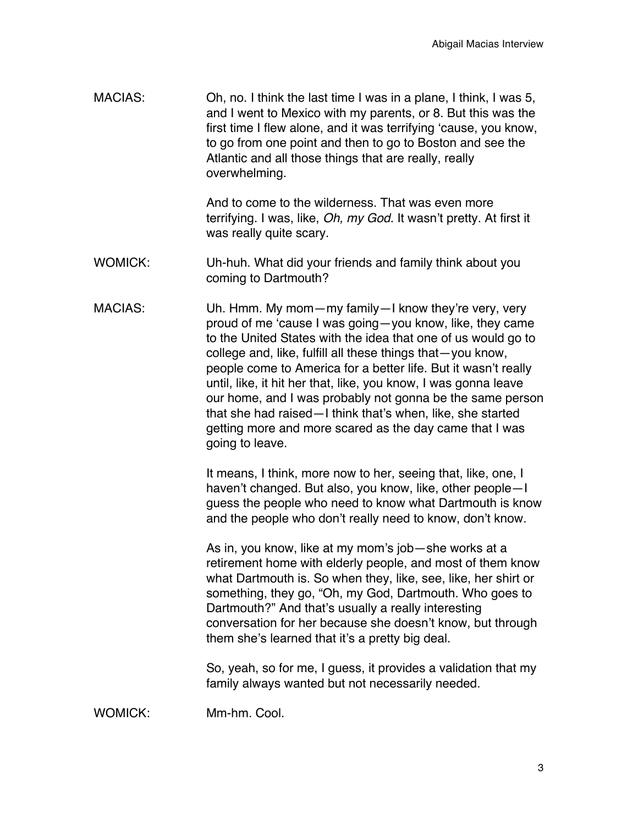MACIAS: Oh, no. I think the last time I was in a plane, I think, I was 5, and I went to Mexico with my parents, or 8. But this was the first time I flew alone, and it was terrifying 'cause, you know, to go from one point and then to go to Boston and see the Atlantic and all those things that are really, really overwhelming.

> And to come to the wilderness. That was even more terrifying. I was, like, *Oh, my God.* It wasn't pretty. At first it was really quite scary.

- WOMICK: Uh-huh. What did your friends and family think about you coming to Dartmouth?
- MACIAS: Uh. Hmm. My mom—my family—I know they're very, very proud of me 'cause I was going—you know, like, they came to the United States with the idea that one of us would go to college and, like, fulfill all these things that—you know, people come to America for a better life. But it wasn't really until, like, it hit her that, like, you know, I was gonna leave our home, and I was probably not gonna be the same person that she had raised—I think that's when, like, she started getting more and more scared as the day came that I was going to leave.

It means, I think, more now to her, seeing that, like, one, I haven't changed. But also, you know, like, other people—I guess the people who need to know what Dartmouth is know and the people who don't really need to know, don't know.

As in, you know, like at my mom's job—she works at a retirement home with elderly people, and most of them know what Dartmouth is. So when they, like, see, like, her shirt or something, they go, "Oh, my God, Dartmouth. Who goes to Dartmouth?" And that's usually a really interesting conversation for her because she doesn't know, but through them she's learned that it's a pretty big deal.

So, yeah, so for me, I guess, it provides a validation that my family always wanted but not necessarily needed.

WOMICK: Mm-hm. Cool.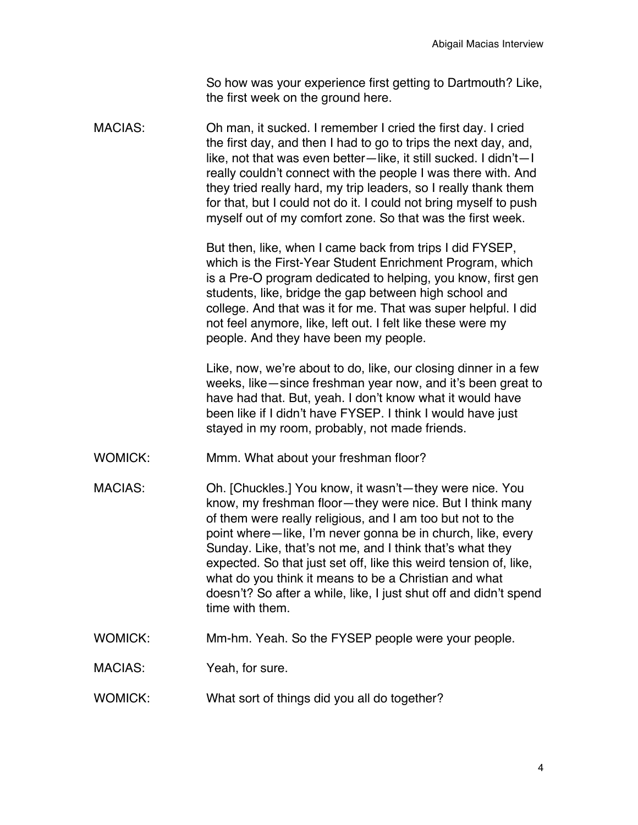So how was your experience first getting to Dartmouth? Like, the first week on the ground here.

MACIAS: Oh man, it sucked. I remember I cried the first day. I cried the first day, and then I had to go to trips the next day, and, like, not that was even better—like, it still sucked. I didn't—I really couldn't connect with the people I was there with. And they tried really hard, my trip leaders, so I really thank them for that, but I could not do it. I could not bring myself to push myself out of my comfort zone. So that was the first week.

> But then, like, when I came back from trips I did FYSEP, which is the First-Year Student Enrichment Program, which is a Pre-O program dedicated to helping, you know, first gen students, like, bridge the gap between high school and college. And that was it for me. That was super helpful. I did not feel anymore, like, left out. I felt like these were my people. And they have been my people.

Like, now, we're about to do, like, our closing dinner in a few weeks, like—since freshman year now, and it's been great to have had that. But, yeah. I don't know what it would have been like if I didn't have FYSEP. I think I would have just stayed in my room, probably, not made friends.

- WOMICK: Mmm. What about your freshman floor?
- MACIAS: Oh. [Chuckles.] You know, it wasn't—they were nice. You know, my freshman floor—they were nice. But I think many of them were really religious, and I am too but not to the point where—like, I'm never gonna be in church, like, every Sunday. Like, that's not me, and I think that's what they expected. So that just set off, like this weird tension of, like, what do you think it means to be a Christian and what doesn't? So after a while, like, I just shut off and didn't spend time with them.
- WOMICK: Mm-hm. Yeah. So the FYSEP people were your people.

MACIAS: Yeah, for sure.

WOMICK: What sort of things did you all do together?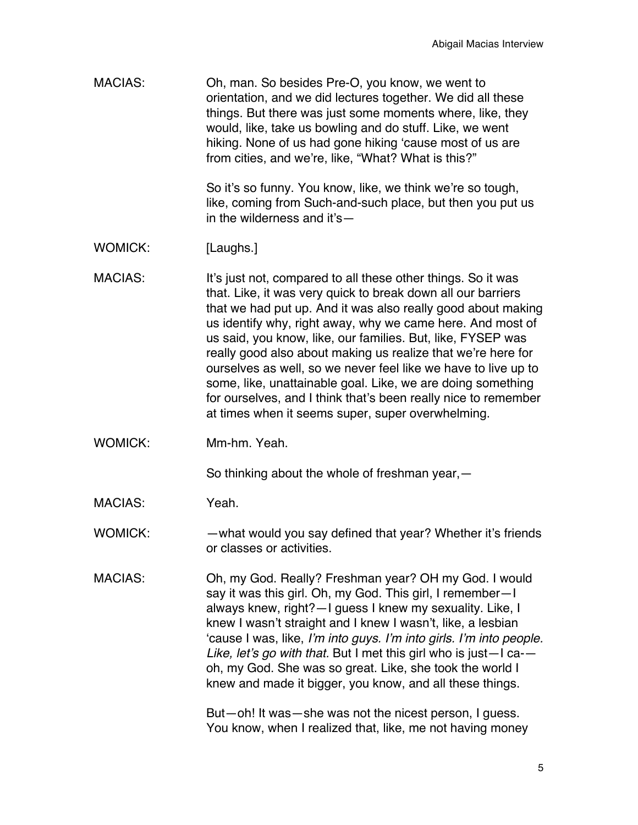| MACIAS:        | Oh, man. So besides Pre-O, you know, we went to<br>orientation, and we did lectures together. We did all these<br>things. But there was just some moments where, like, they<br>would, like, take us bowling and do stuff. Like, we went<br>hiking. None of us had gone hiking 'cause most of us are<br>from cities, and we're, like, "What? What is this?"                                                                                                                                                                                                                                                                                        |
|----------------|---------------------------------------------------------------------------------------------------------------------------------------------------------------------------------------------------------------------------------------------------------------------------------------------------------------------------------------------------------------------------------------------------------------------------------------------------------------------------------------------------------------------------------------------------------------------------------------------------------------------------------------------------|
|                | So it's so funny. You know, like, we think we're so tough,<br>like, coming from Such-and-such place, but then you put us<br>in the wilderness and it's-                                                                                                                                                                                                                                                                                                                                                                                                                                                                                           |
| <b>WOMICK:</b> | [Laughs.]                                                                                                                                                                                                                                                                                                                                                                                                                                                                                                                                                                                                                                         |
| <b>MACIAS:</b> | It's just not, compared to all these other things. So it was<br>that. Like, it was very quick to break down all our barriers<br>that we had put up. And it was also really good about making<br>us identify why, right away, why we came here. And most of<br>us said, you know, like, our families. But, like, FYSEP was<br>really good also about making us realize that we're here for<br>ourselves as well, so we never feel like we have to live up to<br>some, like, unattainable goal. Like, we are doing something<br>for ourselves, and I think that's been really nice to remember<br>at times when it seems super, super overwhelming. |
| <b>WOMICK:</b> | Mm-hm. Yeah.                                                                                                                                                                                                                                                                                                                                                                                                                                                                                                                                                                                                                                      |
|                | So thinking about the whole of freshman year, $-$                                                                                                                                                                                                                                                                                                                                                                                                                                                                                                                                                                                                 |
| <b>MACIAS:</b> | Yeah.                                                                                                                                                                                                                                                                                                                                                                                                                                                                                                                                                                                                                                             |
| <b>WOMICK:</b> | -what would you say defined that year? Whether it's friends<br>or classes or activities.                                                                                                                                                                                                                                                                                                                                                                                                                                                                                                                                                          |
| <b>MACIAS:</b> | Oh, my God. Really? Freshman year? OH my God. I would<br>say it was this girl. Oh, my God. This girl, I remember-I<br>always knew, right?-I guess I knew my sexuality. Like, I<br>knew I wasn't straight and I knew I wasn't, like, a lesbian<br>'cause I was, like, I'm into guys. I'm into girls. I'm into people.<br>Like, let's go with that. But I met this girl who is just-I ca--<br>oh, my God. She was so great. Like, she took the world I<br>knew and made it bigger, you know, and all these things.                                                                                                                                  |
|                | But-oh! It was-she was not the nicest person, I guess.<br>You know, when I realized that, like, me not having money                                                                                                                                                                                                                                                                                                                                                                                                                                                                                                                               |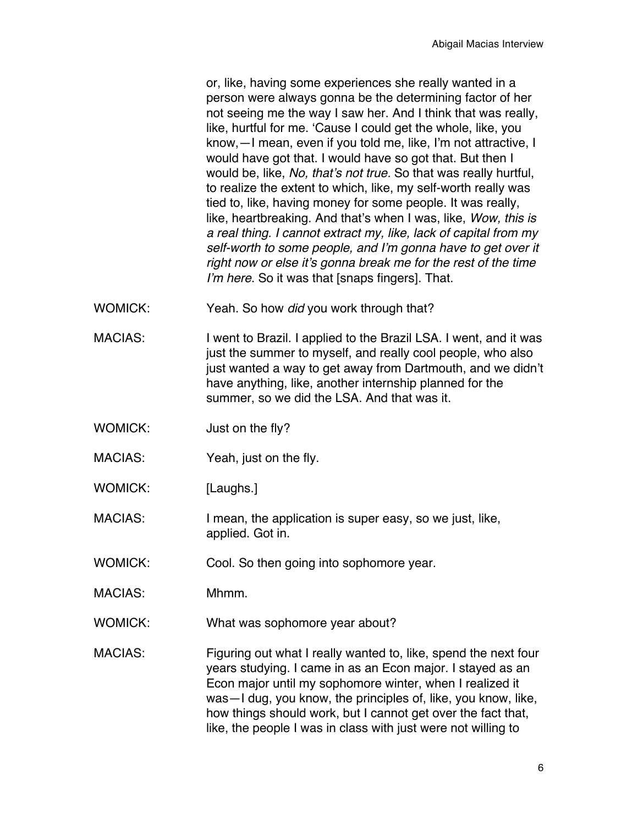or, like, having some experiences she really wanted in a person were always gonna be the determining factor of her not seeing me the way I saw her. And I think that was really, like, hurtful for me. 'Cause I could get the whole, like, you know,—I mean, even if you told me, like, I'm not attractive, I would have got that. I would have so got that. But then I would be, like, *No, that's not true.* So that was really hurtful, to realize the extent to which, like, my self-worth really was tied to, like, having money for some people. It was really, like, heartbreaking. And that's when I was, like, *Wow, this is a real thing. I cannot extract my, like, lack of capital from my self-worth to some people, and I'm gonna have to get over it right now or else it's gonna break me for the rest of the time I'm here*. So it was that [snaps fingers]. That.

- WOMICK: Yeah. So how *did* you work through that?
- MACIAS: I went to Brazil. I applied to the Brazil LSA. I went, and it was just the summer to myself, and really cool people, who also just wanted a way to get away from Dartmouth, and we didn't have anything, like, another internship planned for the summer, so we did the LSA. And that was it.
- WOMICK: Just on the fly?
- MACIAS: Yeah, just on the fly.
- WOMICK: [Laughs.]
- MACIAS: I mean, the application is super easy, so we just, like, applied. Got in.
- WOMICK: Cool. So then going into sophomore year.
- MACIAS: Mhmm.
- WOMICK: What was sophomore year about?
- MACIAS: Figuring out what I really wanted to, like, spend the next four years studying. I came in as an Econ major. I stayed as an Econ major until my sophomore winter, when I realized it was—I dug, you know, the principles of, like, you know, like, how things should work, but I cannot get over the fact that, like, the people I was in class with just were not willing to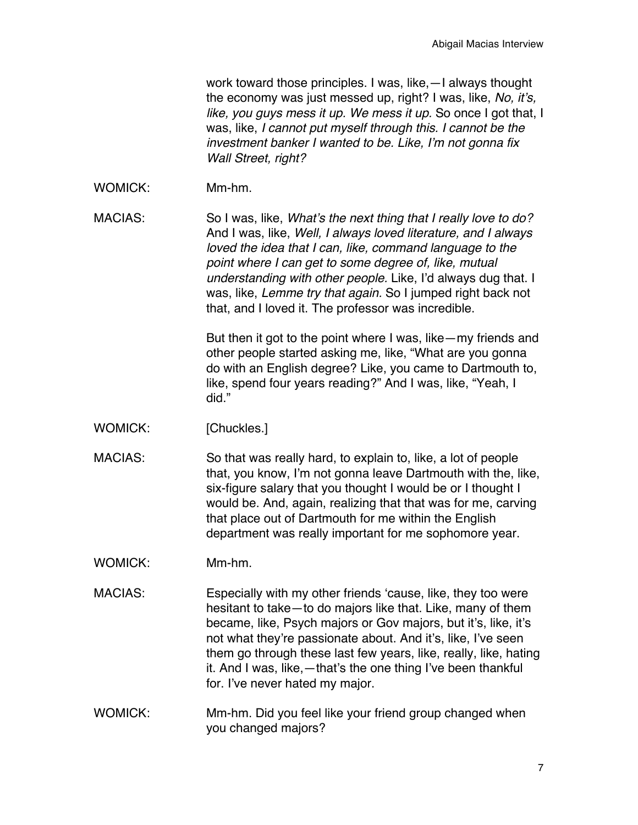work toward those principles. I was, like,—I always thought the economy was just messed up, right? I was, like, *No, it's, like, you guys mess it up. We mess it up.* So once I got that, I was, like, *I cannot put myself through this. I cannot be the investment banker I wanted to be. Like, I'm not gonna fix Wall Street, right?*

WOMICK: Mm-hm.

MACIAS: So I was, like, *What's the next thing that I really love to do?* And I was, like, *Well, I always loved literature, and I always loved the idea that I can, like, command language to the point where I can get to some degree of, like, mutual understanding with other people.* Like, I'd always dug that. I was, like, *Lemme try that again.* So I jumped right back not that, and I loved it. The professor was incredible.

> But then it got to the point where I was, like—my friends and other people started asking me, like, "What are you gonna do with an English degree? Like, you came to Dartmouth to, like, spend four years reading?" And I was, like, "Yeah, I did."

WOMICK: [Chuckles.]

MACIAS: So that was really hard, to explain to, like, a lot of people that, you know, I'm not gonna leave Dartmouth with the, like, six-figure salary that you thought I would be or I thought I would be. And, again, realizing that that was for me, carving that place out of Dartmouth for me within the English department was really important for me sophomore year.

WOMICK: Mm-hm.

MACIAS: Especially with my other friends 'cause, like, they too were hesitant to take—to do majors like that. Like, many of them became, like, Psych majors or Gov majors, but it's, like, it's not what they're passionate about. And it's, like, I've seen them go through these last few years, like, really, like, hating it. And I was, like,—that's the one thing I've been thankful for. I've never hated my major.

WOMICK: Mm-hm. Did you feel like your friend group changed when you changed majors?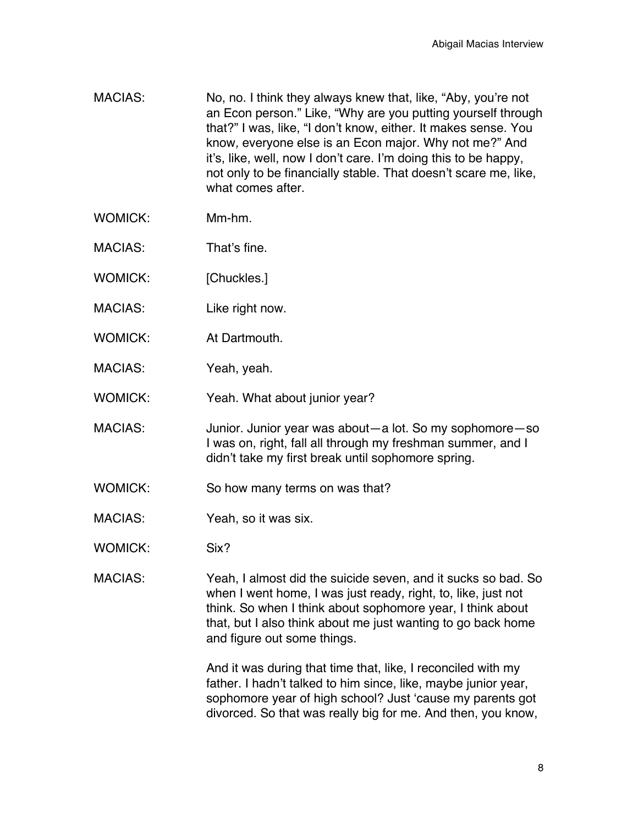- MACIAS: No, no. I think they always knew that, like, "Aby, you're not an Econ person." Like, "Why are you putting yourself through that?" I was, like, "I don't know, either. It makes sense. You know*,* everyone else is an Econ major. Why not me?" And it's, like, well, now I don't care. I'm doing this to be happy, not only to be financially stable. That doesn't scare me, like, what comes after.
- WOMICK: Mm-hm.
- MACIAS: That's fine.
- WOMICK: [Chuckles.]
- MACIAS: Like right now.
- WOMICK: At Dartmouth.
- MACIAS: Yeah, yeah.
- WOMICK: Yeah. What about junior year?
- MACIAS: Junior. Junior year was about—a lot. So my sophomore—so I was on, right, fall all through my freshman summer, and I didn't take my first break until sophomore spring.
- WOMICK: So how many terms on was that?
- MACIAS: Yeah, so it was six.
- WOMICK: Six?

MACIAS: Yeah, I almost did the suicide seven, and it sucks so bad. So when I went home, I was just ready, right, to, like, just not think. So when I think about sophomore year, I think about that, but I also think about me just wanting to go back home and figure out some things.

> And it was during that time that, like, I reconciled with my father. I hadn't talked to him since, like, maybe junior year, sophomore year of high school? Just 'cause my parents got divorced. So that was really big for me. And then, you know,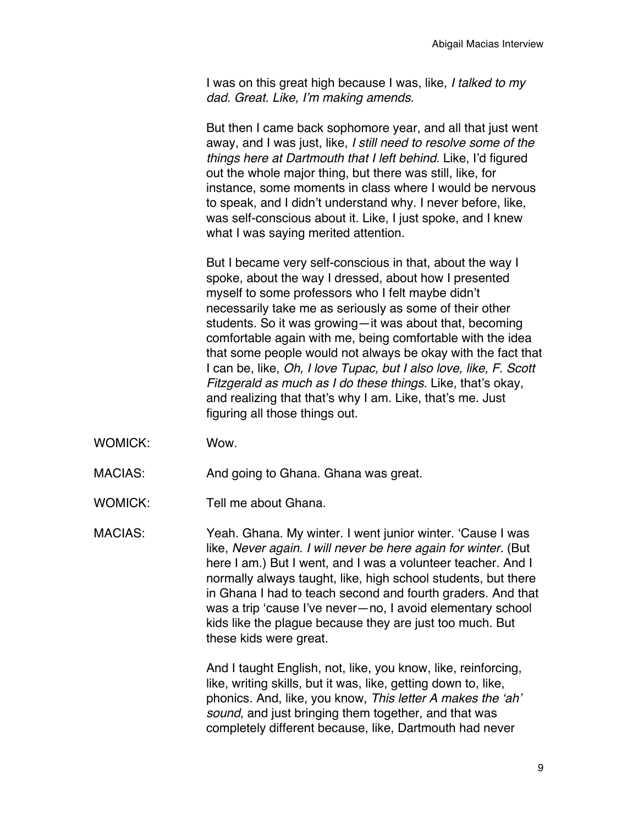I was on this great high because I was, like, *I talked to my dad. Great. Like, I'm making amends.*

But then I came back sophomore year, and all that just went away, and I was just, like, *I still need to resolve some of the things here at Dartmouth that I left behind.* Like, I'd figured out the whole major thing, but there was still, like, for instance, some moments in class where I would be nervous to speak, and I didn't understand why. I never before, like, was self-conscious about it. Like, I just spoke, and I knew what I was saying merited attention.

But I became very self-conscious in that, about the way I spoke, about the way I dressed, about how I presented myself to some professors who I felt maybe didn't necessarily take me as seriously as some of their other students. So it was growing—it was about that, becoming comfortable again with me, being comfortable with the idea that some people would not always be okay with the fact that I can be, like, *Oh, I love Tupac, but I also love, like, F. Scott Fitzgerald as much as I do these things.* Like, that's okay, and realizing that that's why I am. Like, that's me. Just figuring all those things out.

- WOMICK: Wow.
- MACIAS: And going to Ghana. Ghana was great.
- WOMICK: Tell me about Ghana.

MACIAS: Yeah. Ghana. My winter. I went junior winter. 'Cause I was like, *Never again. I will never be here again for winter.* (But here I am.) But I went, and I was a volunteer teacher. And I normally always taught, like, high school students, but there in Ghana I had to teach second and fourth graders. And that was a trip 'cause I've never—no, I avoid elementary school kids like the plague because they are just too much. But these kids were great.

> And I taught English, not, like, you know, like, reinforcing, like, writing skills, but it was, like, getting down to, like, phonics. And, like, you know, *This letter A makes the 'ah' sound*, and just bringing them together, and that was completely different because, like, Dartmouth had never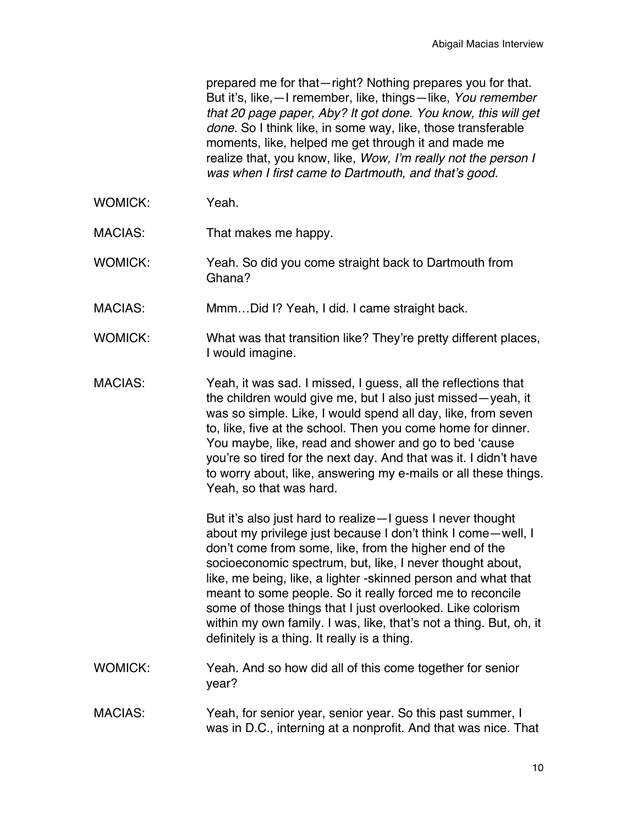prepared me for that—right? Nothing prepares you for that. But it's, like,—I remember, like, things—like, *You remember that 20 page paper, Aby? It got done. You know, this will get done.* So I think like, in some way, like, those transferable moments, like, helped me get through it and made me realize that, you know, like, *Wow, I'm really not the person I was when I first came to Dartmouth, and that's good.*

- WOMICK: Yeah
- MACIAS: That makes me happy.
- WOMICK: Yeah. So did you come straight back to Dartmouth from Ghana?
- MACIAS: Mmm…Did I? Yeah, I did. I came straight back.
- WOMICK: What was that transition like? They're pretty different places, I would imagine.
- MACIAS: Yeah, it was sad. I missed, I guess, all the reflections that the children would give me, but I also just missed—yeah, it was so simple. Like, I would spend all day, like, from seven to, like, five at the school. Then you come home for dinner. You maybe, like, read and shower and go to bed 'cause you're so tired for the next day. And that was it. I didn't have to worry about, like, answering my e-mails or all these things. Yeah, so that was hard.

But it's also just hard to realize—I guess I never thought about my privilege just because I don't think I come—well, I don't come from some, like, from the higher end of the socioeconomic spectrum, but, like, I never thought about, like, me being, like, a lighter -skinned person and what that meant to some people. So it really forced me to reconcile some of those things that I just overlooked. Like colorism within my own family. I was, like, that's not a thing. But, oh, it definitely is a thing. It really is a thing.

- WOMICK: Yeah. And so how did all of this come together for senior year?
- MACIAS: Yeah, for senior year, senior year. So this past summer, I was in D.C., interning at a nonprofit. And that was nice. That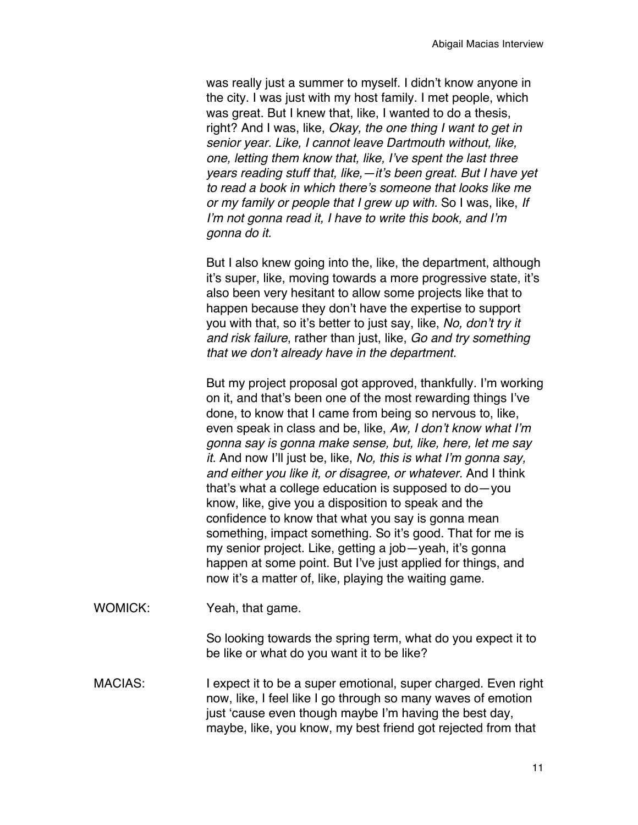was really just a summer to myself. I didn't know anyone in the city. I was just with my host family. I met people, which was great. But I knew that, like, I wanted to do a thesis, right? And I was, like, *Okay, the one thing I want to get in senior year. Like, I cannot leave Dartmouth without, like, one, letting them know that, like, I've spent the last three years reading stuff that, like,—it's been great. But I have yet to read a book in which there's someone that looks like me or my family or people that I grew up with.* So I was, like, *If I'm not gonna read it, I have to write this book, and I'm gonna do it.*

But I also knew going into the, like, the department, although it's super, like, moving towards a more progressive state, it's also been very hesitant to allow some projects like that to happen because they don't have the expertise to support you with that, so it's better to just say, like, *No, don't try it and risk failure*, rather than just, like, *Go and try something that we don't already have in the department.*

But my project proposal got approved, thankfully. I'm working on it, and that's been one of the most rewarding things I've done, to know that I came from being so nervous to, like, even speak in class and be, like, *Aw, I don't know what I'm gonna say is gonna make sense, but, like, here, let me say it.* And now I'll just be, like, *No, this is what I'm gonna say, and either you like it, or disagree, or whatever.* And I think that's what a college education is supposed to do—you know, like, give you a disposition to speak and the confidence to know that what you say is gonna mean something, impact something. So it's good. That for me is my senior project. Like, getting a job—yeah, it's gonna happen at some point. But I've just applied for things, and now it's a matter of, like, playing the waiting game.

WOMICK: Yeah, that game.

So looking towards the spring term, what do you expect it to be like or what do you want it to be like?

MACIAS: I expect it to be a super emotional, super charged. Even right now, like, I feel like I go through so many waves of emotion just 'cause even though maybe I'm having the best day, maybe, like, you know, my best friend got rejected from that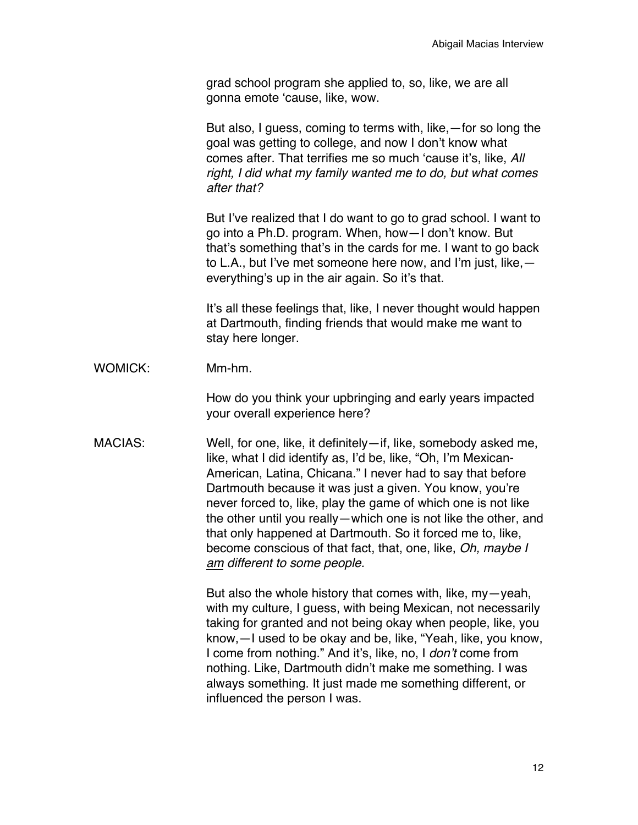grad school program she applied to, so, like, we are all gonna emote 'cause, like, wow.

But also, I guess, coming to terms with, like,—for so long the goal was getting to college, and now I don't know what comes after. That terrifies me so much 'cause it's, like, *All right, I did what my family wanted me to do, but what comes after that?*

But I've realized that I do want to go to grad school. I want to go into a Ph.D. program. When, how—I don't know. But that's something that's in the cards for me. I want to go back to L.A., but I've met someone here now, and I'm just, like, everything's up in the air again. So it's that.

It's all these feelings that, like, I never thought would happen at Dartmouth, finding friends that would make me want to stay here longer.

WOMICK: Mm-hm.

How do you think your upbringing and early years impacted your overall experience here?

MACIAS: Well, for one, like, it definitely—if, like, somebody asked me, like, what I did identify as, I'd be, like, "Oh, I'm Mexican-American, Latina, Chicana." I never had to say that before Dartmouth because it was just a given. You know, you're never forced to, like, play the game of which one is not like the other until you really—which one is not like the other, and that only happened at Dartmouth. So it forced me to, like, become conscious of that fact, that, one, like, *Oh, maybe I am different to some people.* 

> But also the whole history that comes with, like, my—yeah, with my culture, I guess, with being Mexican, not necessarily taking for granted and not being okay when people, like, you know,—I used to be okay and be, like, "Yeah, like, you know, I come from nothing." And it's, like, no, I *don't* come from nothing. Like, Dartmouth didn't make me something. I was always something. It just made me something different, or influenced the person I was.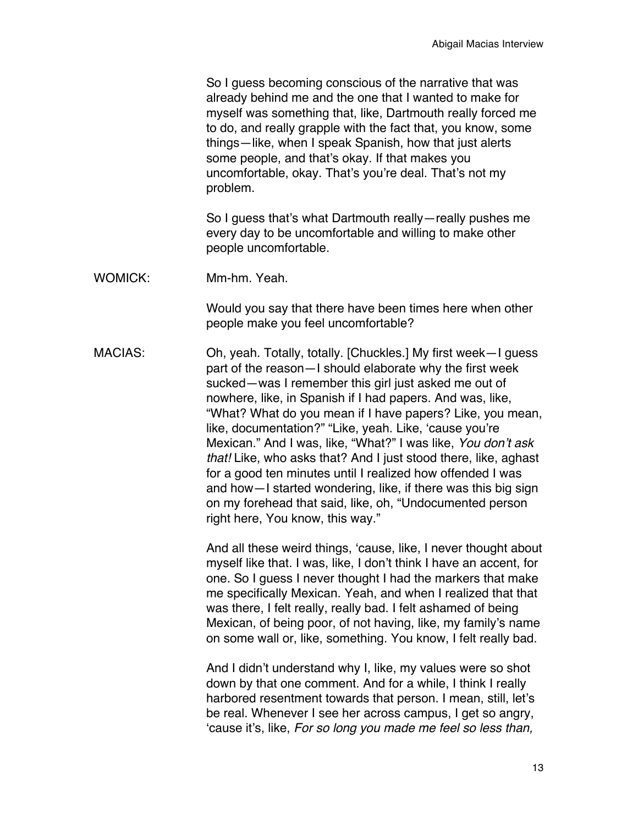So I guess becoming conscious of the narrative that was already behind me and the one that I wanted to make for myself was something that, like, Dartmouth really forced me to do, and really grapple with the fact that, you know, some things—like, when I speak Spanish, how that just alerts some people, and that's okay. If that makes you uncomfortable, okay. That's you're deal. That's not my problem.

So I guess that's what Dartmouth really—really pushes me every day to be uncomfortable and willing to make other people uncomfortable.

WOMICK: Mm-hm. Yeah.

Would you say that there have been times here when other people make you feel uncomfortable?

MACIAS: Oh, yeah. Totally, totally. [Chuckles.] My first week—I guess part of the reason—I should elaborate why the first week sucked—was I remember this girl just asked me out of nowhere, like, in Spanish if I had papers. And was, like, "What? What do you mean if I have papers? Like, you mean, like, documentation?" "Like, yeah. Like, 'cause you're Mexican." And I was, like, "What?" I was like, *You don't ask that!* Like, who asks that? And I just stood there, like, aghast for a good ten minutes until I realized how offended I was and how—I started wondering, like, if there was this big sign on my forehead that said, like, oh, "Undocumented person right here, You know, this way."

> And all these weird things, 'cause, like, I never thought about myself like that. I was, like, I don't think I have an accent, for one. So I guess I never thought I had the markers that make me specifically Mexican. Yeah, and when I realized that that was there, I felt really, really bad. I felt ashamed of being Mexican, of being poor, of not having, like, my family's name on some wall or, like, something. You know, I felt really bad.

And I didn't understand why I, like, my values were so shot down by that one comment. And for a while, I think I really harbored resentment towards that person. I mean, still, let's be real. Whenever I see her across campus, I get so angry, 'cause it's, like, *For so long you made me feel so less than,*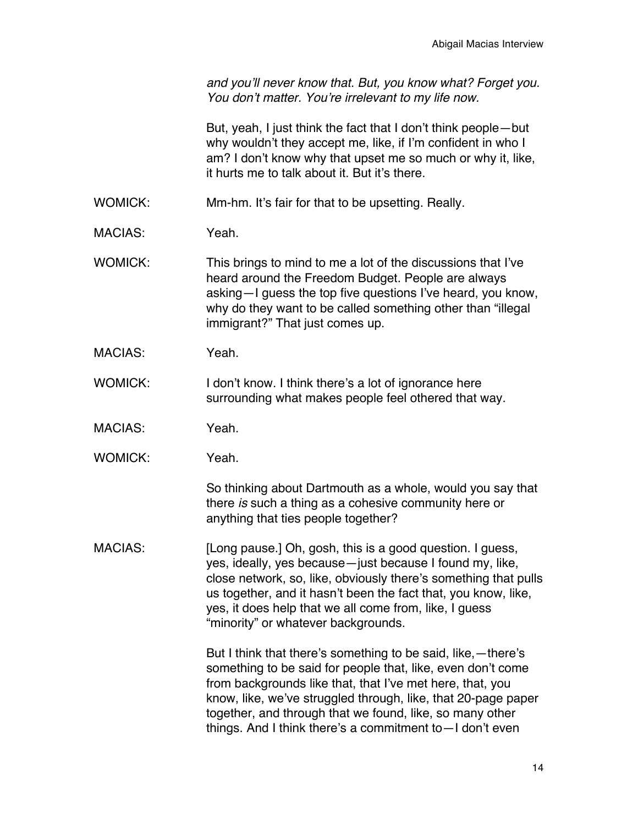*and you'll never know that. But, you know what? Forget you. You don't matter. You're irrelevant to my life now.*

But, yeah, I just think the fact that I don't think people—but why wouldn't they accept me, like, if I'm confident in who I am? I don't know why that upset me so much or why it, like, it hurts me to talk about it. But it's there.

- WOMICK: Mm-hm. It's fair for that to be upsetting. Really.
- MACIAS: Yeah.
- WOMICK: This brings to mind to me a lot of the discussions that I've heard around the Freedom Budget. People are always asking—I guess the top five questions I've heard, you know, why do they want to be called something other than "illegal immigrant?" That just comes up.
- MACIAS: Yeah.
- WOMICK: I don't know. I think there's a lot of ignorance here surrounding what makes people feel othered that way.
- MACIAS: Yeah.
- WOMICK: Yeah.

So thinking about Dartmouth as a whole, would you say that there *is* such a thing as a cohesive community here or anything that ties people together?

MACIAS: [Long pause.] Oh, gosh, this is a good question. I guess, yes, ideally, yes because—just because I found my, like, close network, so, like, obviously there's something that pulls us together, and it hasn't been the fact that, you know, like, yes, it does help that we all come from, like, I guess "minority" or whatever backgrounds.

> But I think that there's something to be said, like,—there's something to be said for people that, like, even don't come from backgrounds like that, that I've met here, that, you know, like, we've struggled through, like, that 20-page paper together, and through that we found, like, so many other things. And I think there's a commitment to—I don't even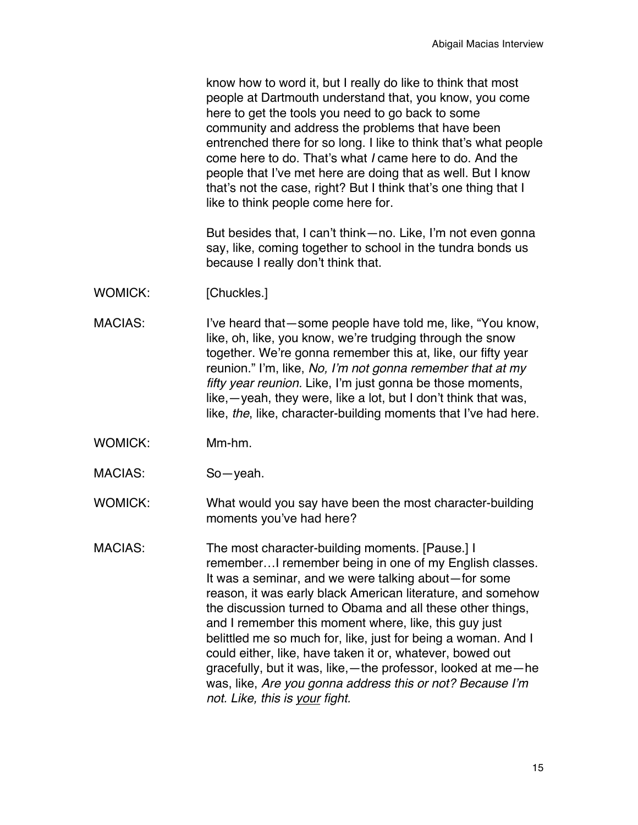know how to word it, but I really do like to think that most people at Dartmouth understand that, you know, you come here to get the tools you need to go back to some community and address the problems that have been entrenched there for so long. I like to think that's what people come here to do. That's what *I* came here to do. And the people that I've met here are doing that as well. But I know that's not the case, right? But I think that's one thing that I like to think people come here for.

But besides that, I can't think—no. Like, I'm not even gonna say, like, coming together to school in the tundra bonds us because I really don't think that.

- WOMICK: [Chuckles.]
- MACIAS: I've heard that—some people have told me, like, "You know, like, oh, like, you know, we're trudging through the snow together. We're gonna remember this at, like, our fifty year reunion." I'm, like, *No, I'm not gonna remember that at my fifty year reunion.* Like, I'm just gonna be those moments, like,—yeah, they were, like a lot, but I don't think that was, like, *the*, like, character-building moments that I've had here.
- WOMICK: Mm-hm.
- MACIAS: So—yeah.

WOMICK: What would you say have been the most character-building moments you've had here?

MACIAS: The most character-building moments. [Pause.] I remember…I remember being in one of my English classes. It was a seminar, and we were talking about—for some reason, it was early black American literature, and somehow the discussion turned to Obama and all these other things, and I remember this moment where, like, this guy just belittled me so much for, like, just for being a woman. And I could either, like, have taken it or, whatever, bowed out gracefully, but it was, like,—the professor, looked at me—he was, like, *Are you gonna address this or not? Because I'm not. Like, this is your fight.*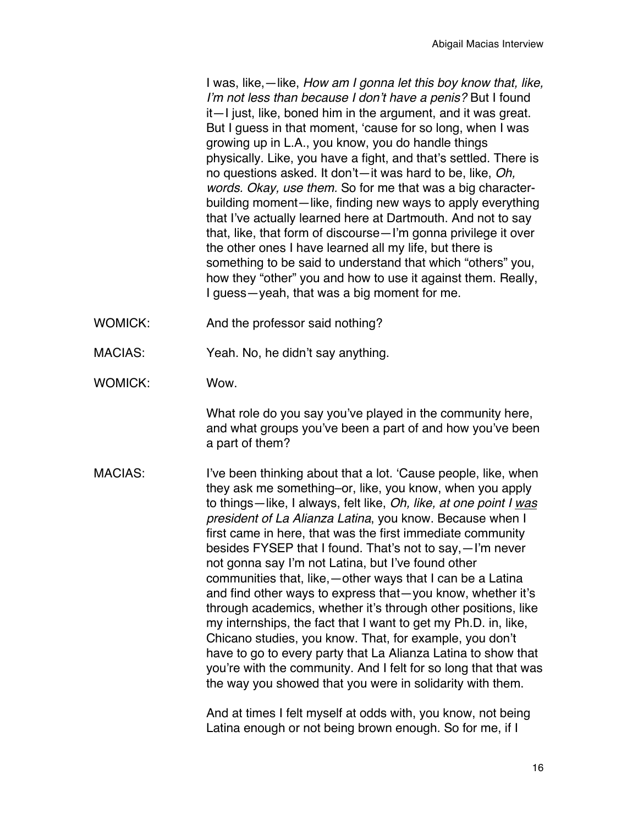I was, like,—like, *How am I gonna let this boy know that, like, I'm not less than because I don't have a penis?* But I found it—I just, like, boned him in the argument, and it was great. But I guess in that moment, 'cause for so long, when I was growing up in L.A., you know, you do handle things physically. Like, you have a fight, and that's settled. There is no questions asked. It don't—it was hard to be, like, *Oh, words. Okay, use them.* So for me that was a big characterbuilding moment—like, finding new ways to apply everything that I've actually learned here at Dartmouth. And not to say that, like, that form of discourse—I'm gonna privilege it over the other ones I have learned all my life, but there is something to be said to understand that which "others" you, how they "other" you and how to use it against them. Really, I guess—yeah, that was a big moment for me.

- WOMICK: And the professor said nothing?
- MACIAS: Yeah. No, he didn't say anything.
- WOMICK: Wow.

What role do you say you've played in the community here, and what groups you've been a part of and how you've been a part of them?

MACIAS: I've been thinking about that a lot. 'Cause people, like, when they ask me something–or, like, you know, when you apply to things—like, I always, felt like, *Oh, like, at one point I was president of La Alianza Latina*, you know. Because when I first came in here, that was the first immediate community besides FYSEP that I found. That's not to say,—I'm never not gonna say I'm not Latina, but I've found other communities that, like,—other ways that I can be a Latina and find other ways to express that—you know, whether it's through academics, whether it's through other positions, like my internships, the fact that I want to get my Ph.D. in, like, Chicano studies, you know. That, for example, you don't have to go to every party that La Alianza Latina to show that you're with the community. And I felt for so long that that was the way you showed that you were in solidarity with them.

> And at times I felt myself at odds with, you know, not being Latina enough or not being brown enough. So for me, if I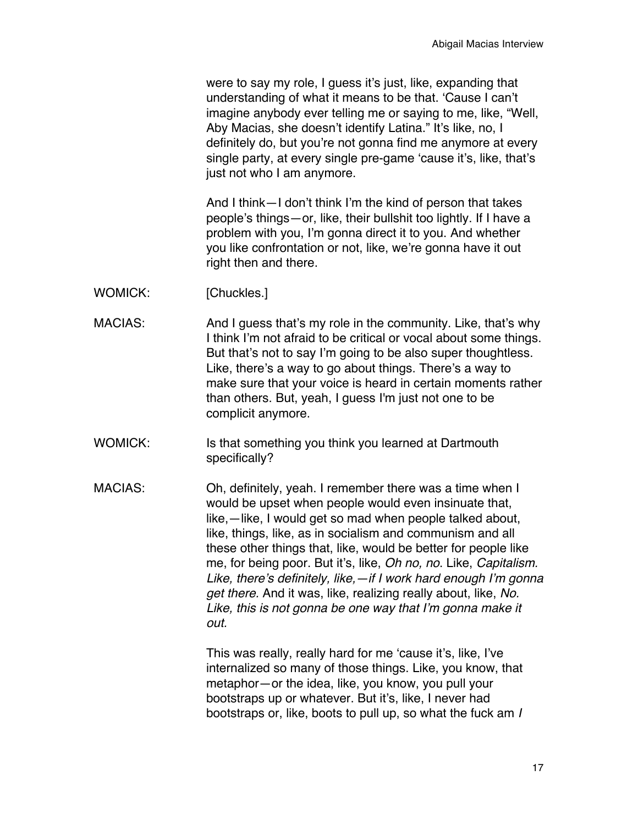were to say my role, I guess it's just, like, expanding that understanding of what it means to be that. 'Cause I can't imagine anybody ever telling me or saying to me, like, "Well, Aby Macias, she doesn't identify Latina." It's like, no, I definitely do, but you're not gonna find me anymore at every single party, at every single pre-game 'cause it's, like, that's just not who I am anymore.

And I think—I don't think I'm the kind of person that takes people's things—or, like, their bullshit too lightly. If I have a problem with you, I'm gonna direct it to you. And whether you like confrontation or not, like, we're gonna have it out right then and there.

- WOMICK: [Chuckles.]
- MACIAS: And I guess that's my role in the community. Like, that's why I think I'm not afraid to be critical or vocal about some things. But that's not to say I'm going to be also super thoughtless. Like, there's a way to go about things. There's a way to make sure that your voice is heard in certain moments rather than others. But, yeah, I guess I'm just not one to be complicit anymore.
- WOMICK: Is that something you think you learned at Dartmouth specifically?
- MACIAS: Oh, definitely, yeah. I remember there was a time when I would be upset when people would even insinuate that, like,—like, I would get so mad when people talked about, like, things, like, as in socialism and communism and all these other things that, like, would be better for people like me, for being poor. But it's, like, *Oh no, no*. Like, *Capitalism. Like, there's definitely, like,—if I work hard enough I'm gonna get there.* And it was, like, realizing really about, like, *No. Like, this is not gonna be one way that I'm gonna make it out.*

This was really, really hard for me 'cause it's, like, I've internalized so many of those things. Like, you know, that metaphor—or the idea, like, you know, you pull your bootstraps up or whatever. But it's, like, I never had bootstraps or, like, boots to pull up, so what the fuck am *I*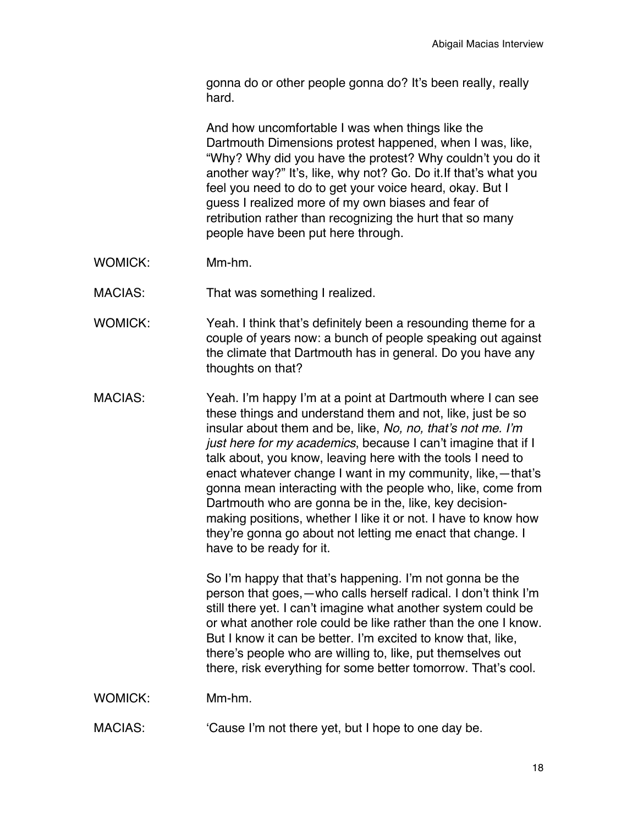gonna do or other people gonna do? It's been really, really hard.

And how uncomfortable I was when things like the Dartmouth Dimensions protest happened, when I was, like, "Why? Why did you have the protest? Why couldn't you do it another way?" It's, like, why not? Go. Do it.If that's what you feel you need to do to get your voice heard, okay. But I guess I realized more of my own biases and fear of retribution rather than recognizing the hurt that so many people have been put here through.

- WOMICK: Mm-hm.
- MACIAS: That was something I realized.
- WOMICK: Yeah. I think that's definitely been a resounding theme for a couple of years now: a bunch of people speaking out against the climate that Dartmouth has in general. Do you have any thoughts on that?
- MACIAS: Yeah. I'm happy I'm at a point at Dartmouth where I can see these things and understand them and not, like, just be so insular about them and be, like, *No, no, that's not me. I'm just here for my academics*, because I can't imagine that if I talk about, you know, leaving here with the tools I need to enact whatever change I want in my community, like,—that's gonna mean interacting with the people who, like, come from Dartmouth who are gonna be in the, like, key decisionmaking positions, whether I like it or not. I have to know how they're gonna go about not letting me enact that change. I have to be ready for it.

So I'm happy that that's happening. I'm not gonna be the person that goes,—who calls herself radical. I don't think I'm still there yet. I can't imagine what another system could be or what another role could be like rather than the one I know. But I know it can be better. I'm excited to know that, like, there's people who are willing to, like, put themselves out there, risk everything for some better tomorrow. That's cool.

- WOMICK: Mm-hm.
- MACIAS: 'Cause I'm not there yet, but I hope to one day be.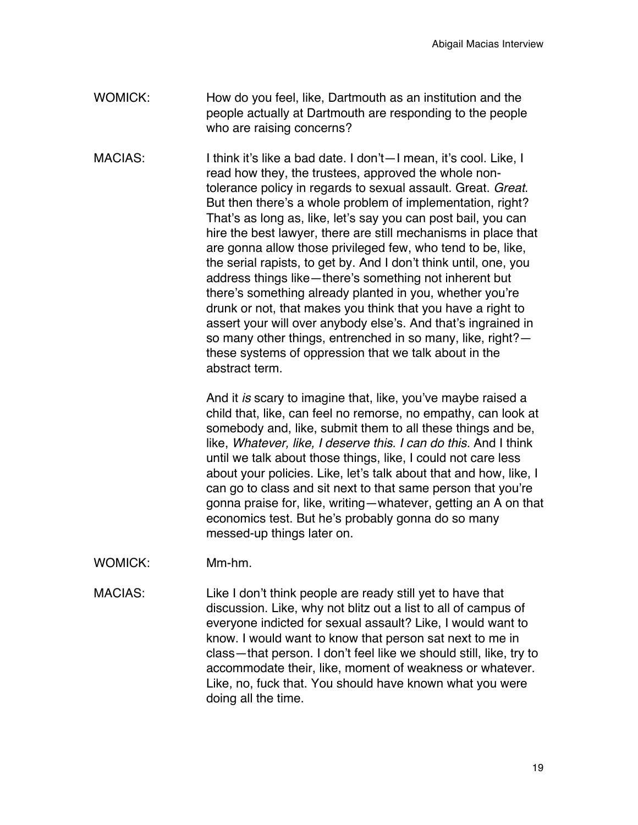- WOMICK: How do you feel, like, Dartmouth as an institution and the people actually at Dartmouth are responding to the people who are raising concerns?
- MACIAS: I think it's like a bad date. I don't—I mean, it's cool. Like, I read how they, the trustees, approved the whole nontolerance policy in regards to sexual assault. Great. *Great*. But then there's a whole problem of implementation, right? That's as long as, like, let's say you can post bail, you can hire the best lawyer, there are still mechanisms in place that are gonna allow those privileged few, who tend to be, like, the serial rapists, to get by. And I don't think until, one, you address things like—there's something not inherent but there's something already planted in you, whether you're drunk or not, that makes you think that you have a right to assert your will over anybody else's. And that's ingrained in so many other things, entrenched in so many, like, right? these systems of oppression that we talk about in the abstract term.

And it *is* scary to imagine that, like, you've maybe raised a child that, like, can feel no remorse, no empathy, can look at somebody and, like, submit them to all these things and be, like, *Whatever, like, I deserve this. I can do this.* And I think until we talk about those things, like, I could not care less about your policies. Like, let's talk about that and how, like, I can go to class and sit next to that same person that you're gonna praise for, like, writing—whatever, getting an A on that economics test. But he's probably gonna do so many messed-up things later on.

- WOMICK: Mm-hm.
- MACIAS: Like I don't think people are ready still yet to have that discussion. Like, why not blitz out a list to all of campus of everyone indicted for sexual assault? Like, I would want to know. I would want to know that person sat next to me in class—that person. I don't feel like we should still, like, try to accommodate their, like, moment of weakness or whatever. Like, no, fuck that. You should have known what you were doing all the time.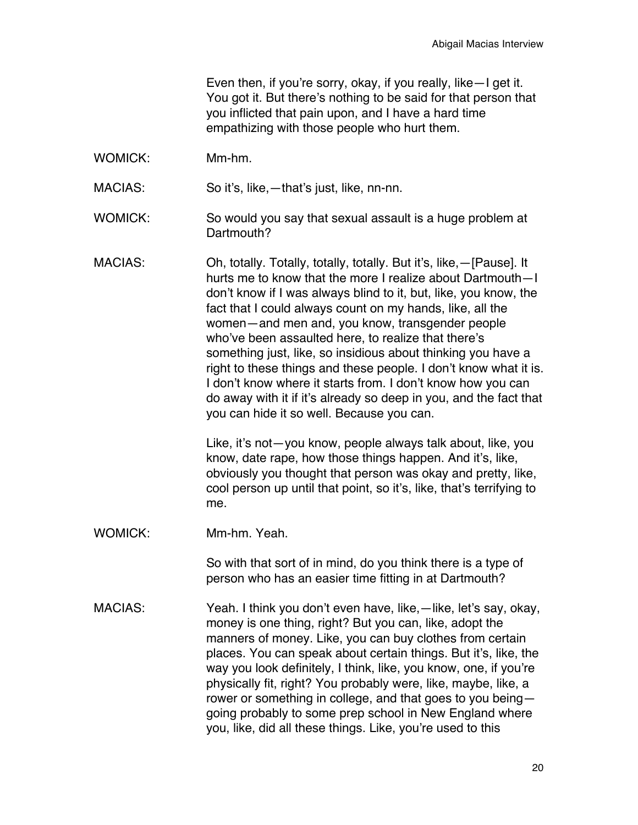Even then, if you're sorry, okay, if you really, like—I get it. You got it. But there's nothing to be said for that person that you inflicted that pain upon, and I have a hard time empathizing with those people who hurt them.

WOMICK: Mm-hm.

MACIAS: So it's, like,—that's just, like, nn-nn.

- WOMICK: So would you say that sexual assault is a huge problem at Dartmouth?
- MACIAS: Oh, totally. Totally, totally, totally. But it's, like,—[Pause]. It hurts me to know that the more I realize about Dartmouth—I don't know if I was always blind to it, but, like, you know, the fact that I could always count on my hands, like, all the women—and men and, you know, transgender people who've been assaulted here, to realize that there's something just, like, so insidious about thinking you have a right to these things and these people. I don't know what it is. I don't know where it starts from. I don't know how you can do away with it if it's already so deep in you, and the fact that you can hide it so well. Because you can.

Like, it's not—you know, people always talk about, like, you know, date rape, how those things happen. And it's, like, obviously you thought that person was okay and pretty, like, cool person up until that point, so it's, like, that's terrifying to me.

WOMICK: Mm-hm. Yeah.

So with that sort of in mind, do you think there is a type of person who has an easier time fitting in at Dartmouth?

MACIAS: Yeah. I think you don't even have, like,—like, let's say, okay, money is one thing, right? But you can, like, adopt the manners of money. Like, you can buy clothes from certain places. You can speak about certain things. But it's, like, the way you look definitely, I think, like, you know, one, if you're physically fit, right? You probably were, like, maybe, like, a rower or something in college, and that goes to you being going probably to some prep school in New England where you, like, did all these things. Like, you're used to this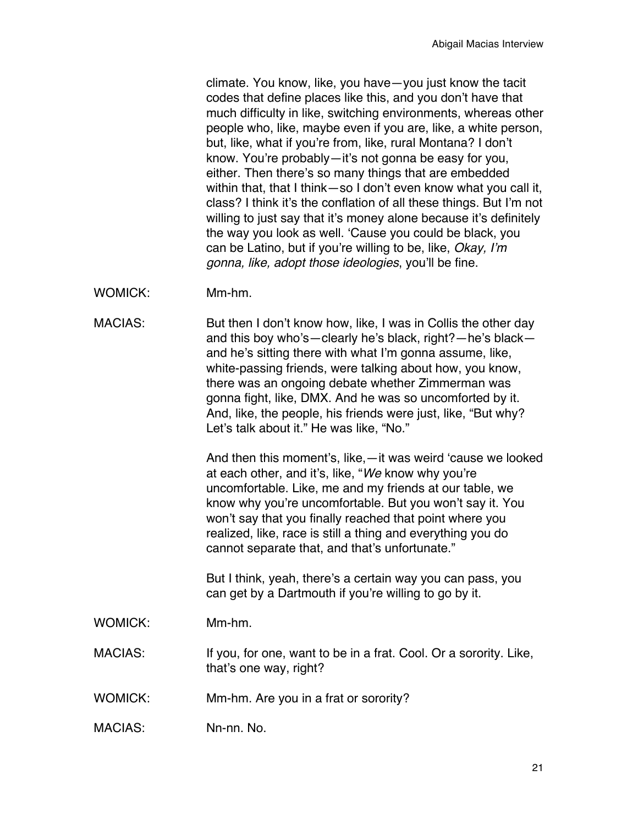climate. You know, like, you have—you just know the tacit codes that define places like this, and you don't have that much difficulty in like, switching environments, whereas other people who, like, maybe even if you are, like, a white person, but, like, what if you're from, like, rural Montana? I don't know. You're probably—it's not gonna be easy for you, either. Then there's so many things that are embedded within that, that I think—so I don't even know what you call it, class? I think it's the conflation of all these things. But I'm not willing to just say that it's money alone because it's definitely the way you look as well. 'Cause you could be black, you can be Latino, but if you're willing to be, like, *Okay, I'm gonna, like, adopt those ideologies*, you'll be fine.

WOMICK: Mm-hm.

MACIAS: But then I don't know how, like, I was in Collis the other day and this boy who's—clearly he's black, right?—he's black and he's sitting there with what I'm gonna assume, like, white-passing friends, were talking about how, you know, there was an ongoing debate whether Zimmerman was gonna fight, like, DMX. And he was so uncomforted by it. And, like, the people, his friends were just, like, "But why? Let's talk about it." He was like, "No."

> And then this moment's, like,—it was weird 'cause we looked at each other, and it's, like, "*We* know why you're uncomfortable. Like, me and my friends at our table, we know why you're uncomfortable. But you won't say it. You won't say that you finally reached that point where you realized, like, race is still a thing and everything you do cannot separate that, and that's unfortunate."

But I think, yeah, there's a certain way you can pass, you can get by a Dartmouth if you're willing to go by it.

WOMICK: Mm-hm.

MACIAS: If you, for one, want to be in a frat. Cool. Or a sorority. Like, that's one way, right?

- WOMICK: Mm-hm. Are you in a frat or sorority?
- MACIAS: Nn-nn. No.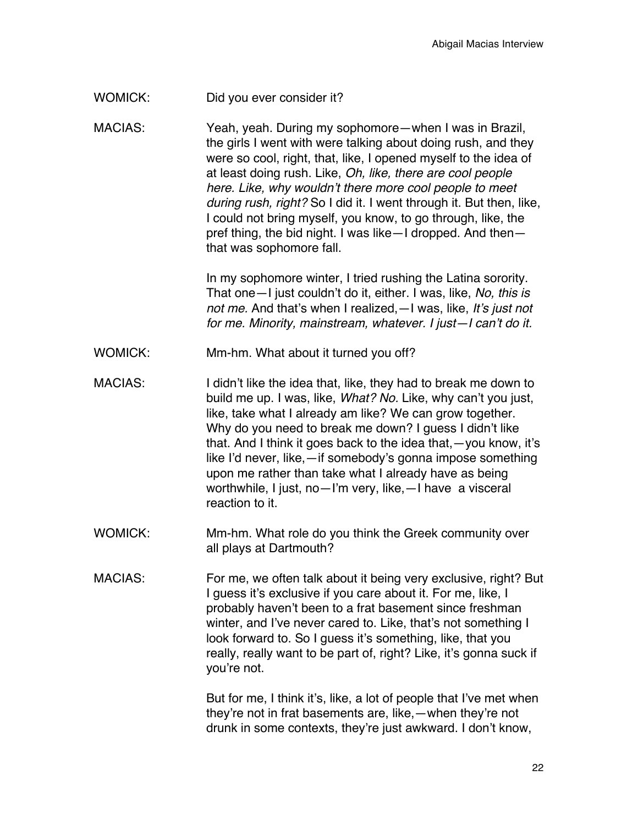## WOMICK: Did you ever consider it?

MACIAS: Yeah, yeah. During my sophomore—when I was in Brazil, the girls I went with were talking about doing rush, and they were so cool, right, that, like, I opened myself to the idea of at least doing rush. Like, *Oh, like, there are cool people here. Like, why wouldn't there more cool people to meet during rush, right?* So I did it. I went through it. But then, like, I could not bring myself, you know, to go through, like, the pref thing, the bid night. I was like—I dropped. And then that was sophomore fall.

> In my sophomore winter, I tried rushing the Latina sorority. That one—I just couldn't do it, either. I was, like, *No, this is not me.* And that's when I realized,—I was, like, *It's just not for me. Minority, mainstream, whatever. I just—I can't do it.*

- WOMICK: Mm-hm. What about it turned you off?
- MACIAS: I didn't like the idea that, like, they had to break me down to build me up. I was, like, *What? No.* Like, why can't you just, like, take what I already am like? We can grow together. Why do you need to break me down? I guess I didn't like that. And I think it goes back to the idea that,—you know, it's like I'd never, like,—if somebody's gonna impose something upon me rather than take what I already have as being worthwhile, I just, no—I'm very, like,—I have a visceral reaction to it.
- WOMICK: Mm-hm. What role do you think the Greek community over all plays at Dartmouth?
- MACIAS: For me, we often talk about it being very exclusive, right? But I quess it's exclusive if you care about it. For me, like, I probably haven't been to a frat basement since freshman winter, and I've never cared to. Like, that's not something I look forward to. So I guess it's something, like, that you really, really want to be part of, right? Like, it's gonna suck if you're not.

But for me, I think it's, like, a lot of people that I've met when they're not in frat basements are, like,—when they're not drunk in some contexts, they're just awkward. I don't know,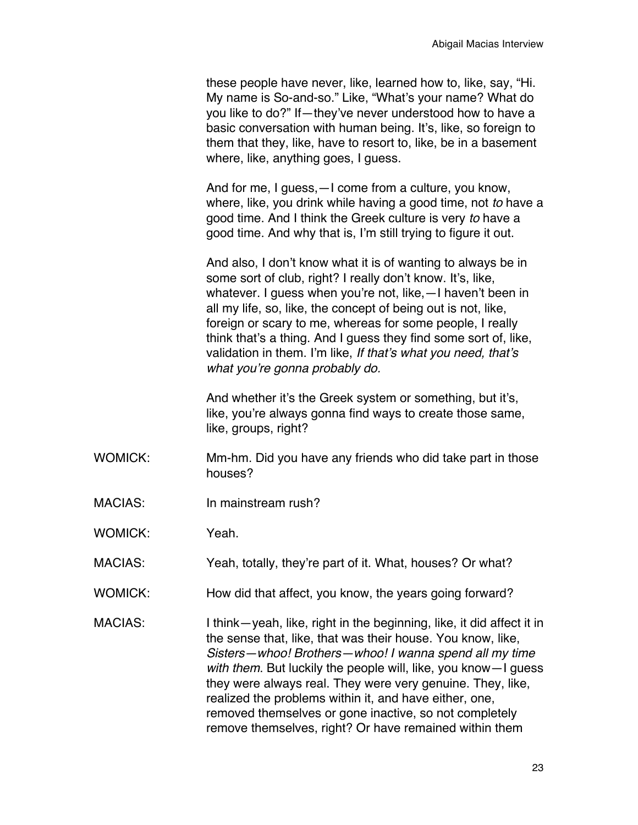these people have never, like, learned how to, like, say, "Hi. My name is So-and-so." Like, "What's your name? What do you like to do?" If—they've never understood how to have a basic conversation with human being. It's, like, so foreign to them that they, like, have to resort to, like, be in a basement where, like, anything goes, I guess.

And for me, I guess,—I come from a culture, you know, where, like, you drink while having a good time, not *to* have a good time. And I think the Greek culture is very *to* have a good time. And why that is, I'm still trying to figure it out.

And also, I don't know what it is of wanting to always be in some sort of club, right? I really don't know. It's, like, whatever. I guess when you're not, like,—I haven't been in all my life, so, like, the concept of being out is not, like, foreign or scary to me, whereas for some people, I really think that's a thing. And I guess they find some sort of, like, validation in them. I'm like, *If that's what you need, that's what you're gonna probably do.*

And whether it's the Greek system or something, but it's, like, you're always gonna find ways to create those same, like, groups, right?

- WOMICK: Mm-hm. Did you have any friends who did take part in those houses?
- MACIAS: In mainstream rush?
- WOMICK: Yeah.
- MACIAS: Yeah, totally, they're part of it. What, houses? Or what?
- WOMICK: How did that affect, you know, the years going forward?
- MACIAS: I think—yeah, like, right in the beginning, like, it did affect it in the sense that, like, that was their house. You know, like, *Sisters—whoo! Brothers—whoo! I wanna spend all my time with them*. But luckily the people will, like, you know—I guess they were always real. They were very genuine. They, like, realized the problems within it, and have either, one, removed themselves or gone inactive, so not completely remove themselves, right? Or have remained within them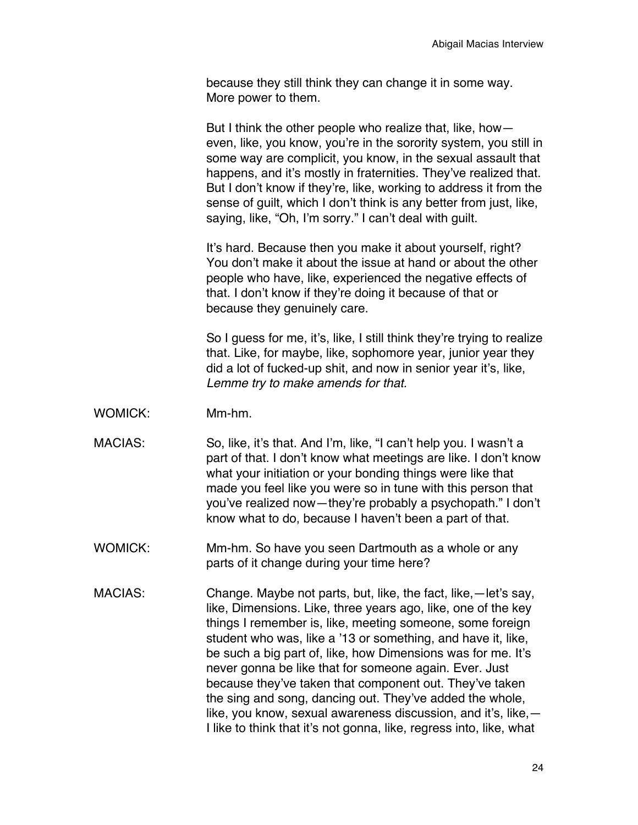because they still think they can change it in some way. More power to them.

But I think the other people who realize that, like, how even, like, you know, you're in the sorority system, you still in some way are complicit, you know, in the sexual assault that happens, and it's mostly in fraternities. They've realized that. But I don't know if they're, like, working to address it from the sense of guilt, which I don't think is any better from just, like, saying, like, "Oh, I'm sorry." I can't deal with guilt.

It's hard. Because then you make it about yourself, right? You don't make it about the issue at hand or about the other people who have, like, experienced the negative effects of that. I don't know if they're doing it because of that or because they genuinely care.

So I guess for me, it's, like, I still think they're trying to realize that. Like, for maybe, like, sophomore year, junior year they did a lot of fucked-up shit, and now in senior year it's, like, *Lemme try to make amends for that.*

- WOMICK: Mm-hm.
- MACIAS: So, like, it's that. And I'm, like, "I can't help you. I wasn't a part of that. I don't know what meetings are like. I don't know what your initiation or your bonding things were like that made you feel like you were so in tune with this person that you've realized now—they're probably a psychopath." I don't know what to do, because I haven't been a part of that.
- WOMICK: Mm-hm. So have you seen Dartmouth as a whole or any parts of it change during your time here?
- MACIAS: Change. Maybe not parts, but, like, the fact, like,—let's say, like, Dimensions. Like, three years ago, like, one of the key things I remember is, like, meeting someone, some foreign student who was, like a '13 or something, and have it, like, be such a big part of, like, how Dimensions was for me. It's never gonna be like that for someone again. Ever. Just because they've taken that component out. They've taken the sing and song, dancing out. They've added the whole, like, you know, sexual awareness discussion, and it's, like,— I like to think that it's not gonna, like, regress into, like, what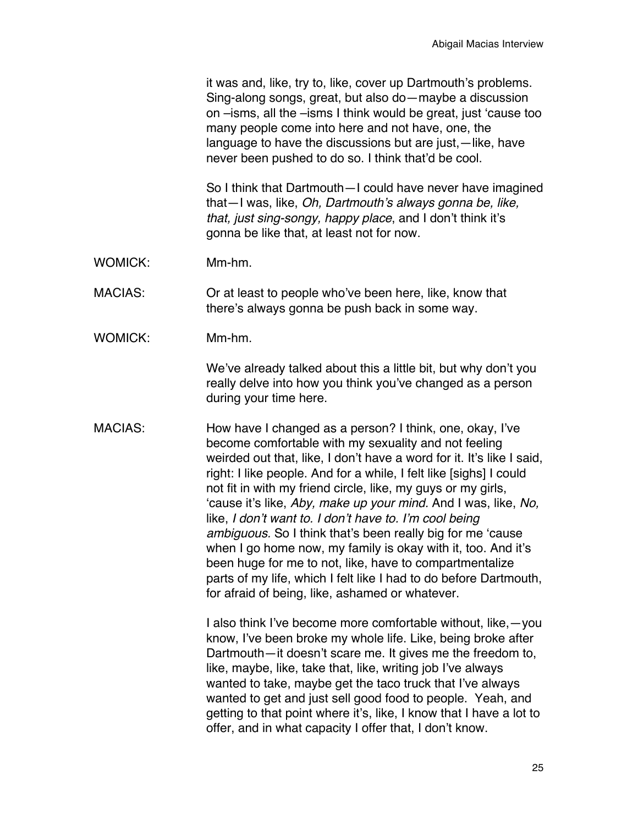it was and, like, try to, like, cover up Dartmouth's problems. Sing-along songs, great, but also do—maybe a discussion on –isms, all the –isms I think would be great, just 'cause too many people come into here and not have, one, the language to have the discussions but are just,—like, have never been pushed to do so. I think that'd be cool.

So I think that Dartmouth—I could have never have imagined that—I was, like, *Oh, Dartmouth's always gonna be, like, that, just sing-songy, happy place*, and I don't think it's gonna be like that, at least not for now.

WOMICK: Mm-hm.

MACIAS: Or at least to people who've been here, like, know that there's always gonna be push back in some way.

WOMICK: Mm-hm.

We've already talked about this a little bit, but why don't you really delve into how you think you've changed as a person during your time here.

MACIAS: How have I changed as a person? I think, one, okay, I've become comfortable with my sexuality and not feeling weirded out that, like, I don't have a word for it. It's like I said, right: I like people. And for a while, I felt like [sighs] I could not fit in with my friend circle, like, my guys or my girls, 'cause it's like, *Aby, make up your mind.* And I was, like, *No,*  like, *I don't want to. I don't have to. I'm cool being ambiguous.* So I think that's been really big for me 'cause when I go home now, my family is okay with it, too. And it's been huge for me to not, like, have to compartmentalize parts of my life, which I felt like I had to do before Dartmouth, for afraid of being, like, ashamed or whatever.

> I also think I've become more comfortable without, like,—you know, I've been broke my whole life. Like, being broke after Dartmouth—it doesn't scare me. It gives me the freedom to, like, maybe, like, take that, like, writing job I've always wanted to take, maybe get the taco truck that I've always wanted to get and just sell good food to people. Yeah, and getting to that point where it's, like, I know that I have a lot to offer, and in what capacity I offer that, I don't know.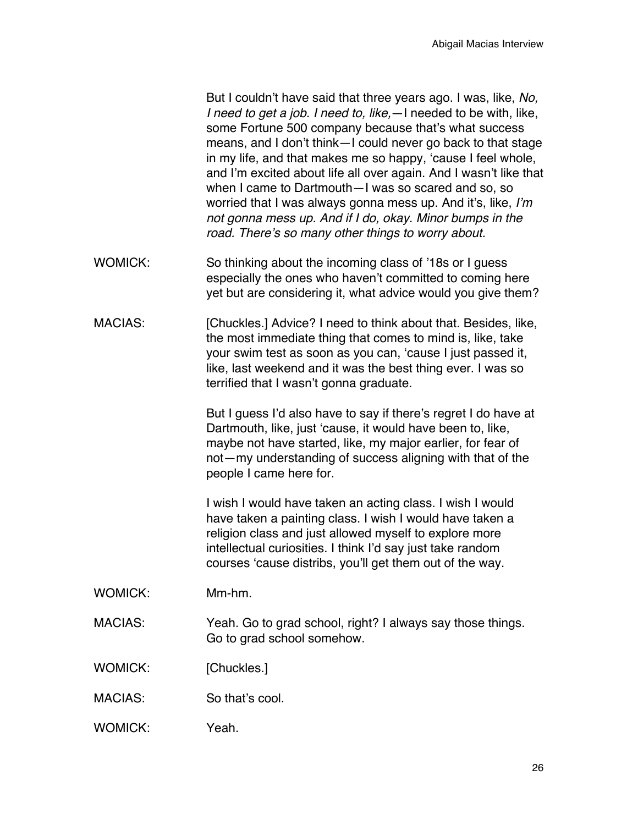But I couldn't have said that three years ago. I was, like, *No, I need to get a job. I need to, like,*—I needed to be with, like, some Fortune 500 company because that's what success means, and I don't think—I could never go back to that stage in my life, and that makes me so happy, 'cause I feel whole, and I'm excited about life all over again. And I wasn't like that when I came to Dartmouth—I was so scared and so, so worried that I was always gonna mess up. And it's, like, *I'm not gonna mess up. And if I do, okay. Minor bumps in the road. There's so many other things to worry about.*

- WOMICK: So thinking about the incoming class of '18s or I quess especially the ones who haven't committed to coming here yet but are considering it, what advice would you give them?
- MACIAS: [Chuckles.] Advice? I need to think about that. Besides, like, the most immediate thing that comes to mind is, like, take your swim test as soon as you can, 'cause I just passed it, like, last weekend and it was the best thing ever. I was so terrified that I wasn't gonna graduate.

But I guess I'd also have to say if there's regret I do have at Dartmouth, like, just 'cause, it would have been to, like, maybe not have started, like, my major earlier, for fear of not—my understanding of success aligning with that of the people I came here for.

I wish I would have taken an acting class. I wish I would have taken a painting class. I wish I would have taken a religion class and just allowed myself to explore more intellectual curiosities. I think I'd say just take random courses 'cause distribs, you'll get them out of the way.

- WOMICK: Mm-hm.
- MACIAS: Yeah. Go to grad school, right? I always say those things. Go to grad school somehow.
- WOMICK: [Chuckles.]
- MACIAS: So that's cool.
- WOMICK: Yeah.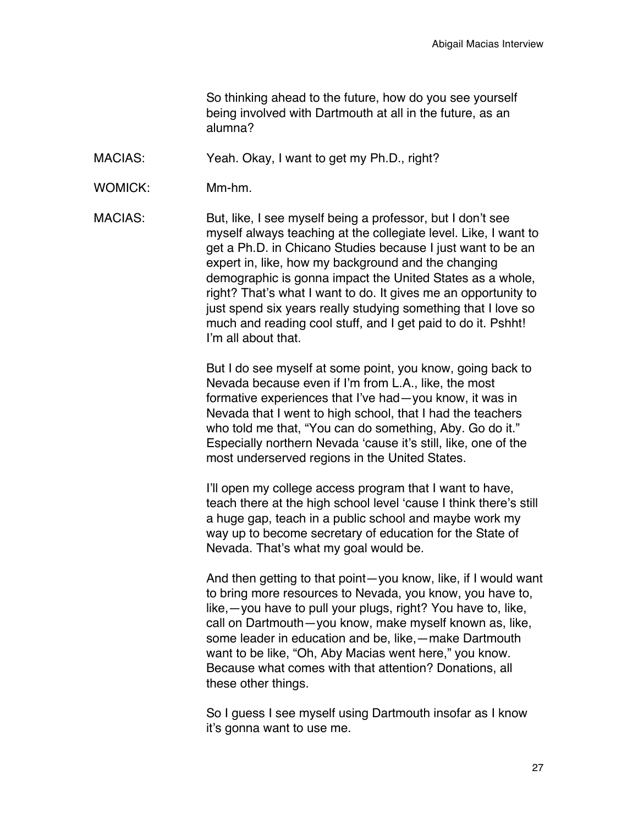So thinking ahead to the future, how do you see yourself being involved with Dartmouth at all in the future, as an alumna?

MACIAS: Yeah. Okay, I want to get my Ph.D., right?

WOMICK: Mm-hm.

MACIAS: But, like, I see myself being a professor, but I don't see myself always teaching at the collegiate level. Like, I want to get a Ph.D. in Chicano Studies because I just want to be an expert in, like, how my background and the changing demographic is gonna impact the United States as a whole, right? That's what I want to do. It gives me an opportunity to just spend six years really studying something that I love so much and reading cool stuff, and I get paid to do it. Pshht! I'm all about that.

> But I do see myself at some point, you know, going back to Nevada because even if I'm from L.A., like, the most formative experiences that I've had—you know, it was in Nevada that I went to high school, that I had the teachers who told me that, "You can do something, Aby. Go do it." Especially northern Nevada 'cause it's still, like, one of the most underserved regions in the United States.

I'll open my college access program that I want to have, teach there at the high school level 'cause I think there's still a huge gap, teach in a public school and maybe work my way up to become secretary of education for the State of Nevada. That's what my goal would be.

And then getting to that point—you know, like, if I would want to bring more resources to Nevada, you know, you have to, like,—you have to pull your plugs, right? You have to, like, call on Dartmouth—you know, make myself known as, like, some leader in education and be, like,—make Dartmouth want to be like, "Oh, Aby Macias went here," you know. Because what comes with that attention? Donations, all these other things.

So I guess I see myself using Dartmouth insofar as I know it's gonna want to use me.